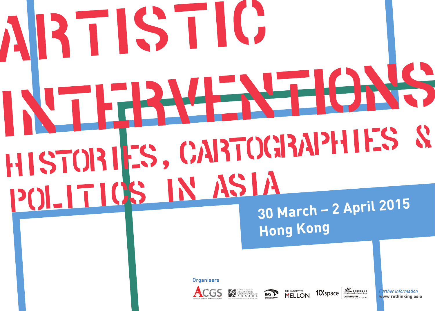# RTISTIC HISTORIES, CARTOGRAPHIES & POLITICS IN ASIA 30 March - 2 April 2015

**Hong Kong** 

Organisers









**Irther information** www.rethinking.asia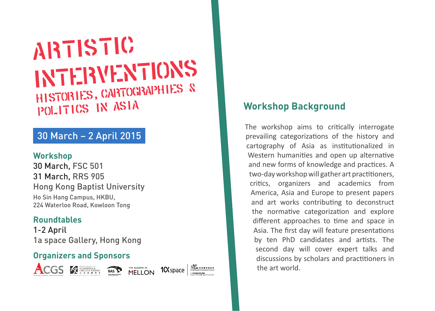## ARTISTIC INTERVENTIONS HISTORIES, CARTOGRAPHIES & POLITICS IN ASIA

## 30 March – 2 April 2015

#### **Workshop**

30 March, FSC 501 31 March, RRS 905 Hong Kong Baptist University Ho Sin Hang Campus, HKBU, 224 Waterloo Road, Kowloon Tong

#### **Roundtables**

1-2 April 1a space Gallery, Hong Kong

#### **Organizers and Sponsors**



ACGS **KREATHER MASP** 

THE ANDREW W.<br>MFI I ON



## **Workshop Background**

The workshop aims to critically interrogate prevailing categorizations of the history and cartography of Asia as institutionalized in Western humanities and open up alternative and new forms of knowledge and practices. A two-day workshop will gather art practitioners, critics, organizers and academics from America, Asia and Europe to present papers and art works contributing to deconstruct the normative categorization and explore different approaches to time and space in Asia. The first day will feature presentations by ten PhD candidates and artists. The second day will cover expert talks and discussions by scholars and practitioners in the art world.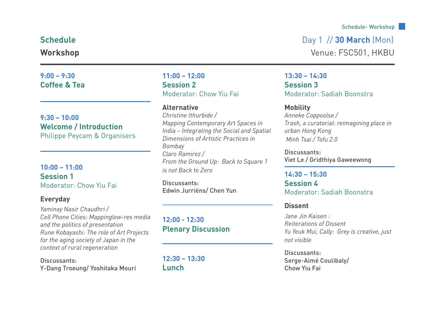#### **9:00 – 9:30 Coffee & Tea**

**9:30 – 10:00 Welcome / Introduction** Philippe Peycam & Organisers

#### **10:00 – 11:00 Session 1** Moderator: Chow Yiu Fai

#### **Everyday**

*Yaminay Nasir Chaudhri / Cell Phone Cities: Mappinglow-res media and the politics of presentation Rune Kobayashi: The role of Art Projects for the aging society of Japan in the context of rural regeneration*

Discussants: Y-Dang Troeung/ Yoshitaka Mouri **11:00 – 12:00 Session 2** Moderator: Chow Yiu Fai

#### **Alternative**

*Christine Ithurbide / Mapping Contemporary Art Spaces in India – Integrating the Social and Spatial Dimensions of Artistic Practices in Bombay Claro Ramirez / From the Ground Up: Back to Square 1 is not Back to Zero*

Discussants: Edwin Jurriëns/ Chen Yun

**12:00 - 12:30 Plenary Discussion**

**12:30 – 13:30 Lunch**

#### Schedule- Workshop

#### **Schedule** Day 1 // **30 March** (Mon)

**Workshop** Venue: FSC501, HKBU

**13:30 – 14:30 Session 3** Moderator: Sadiah Boonstra

#### **Mobility**

*Anneke Coppoolse / Trash, a curatorial: reimagining place in urban Hong Kong Minh Tsai / Tofu 2.0*

Discussants: Viet Le / Gridthiya Gaweewong

#### **14:30 – 15:30 Session 4** Moderator: Sadiah Boonstra

#### **Dissent**

*Jane Jin Kaisen : Reiterations of Dissent Yu Yeuk Mui, Cally: Grey is creative, just not visible*

Discussants: Serge-Aimé Coulibaly/ Chow Yiu Fai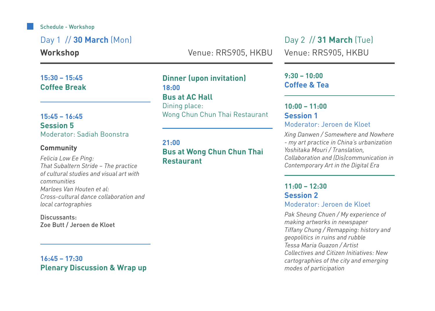#### Schedule - Workshop

Day 1 // **30 March** (Mon)

**Workshop**

**15:30 – 15:45 Coffee Break**

#### **15:45 – 16:45 Session 5** Moderator: Sadiah Boonstra

#### **Community**

*Felicia Low Ee Ping: That Subaltern Stride – The practice of cultural studies and visual art with communities Marloes Van Houten et al: Cross-cultural dance collaboration and local cartographies*

Discussants: Zoe Butt / Jeroen de Kloet

**16:45 – 17:30 Plenary Discussion & Wrap up**  Venue: RRS905, HKBU Venue: RRS905, HKBU

**Dinner (upon invitation) 18:00 Bus at AC Hall** Dining place: Wong Chun Chun Thai Restaurant

#### **21:00 Bus at Wong Chun Chun Thai Restaurant**

Day 2 // **31 March** (Tue)

**9:30 – 10:00 Coffee & Tea**

#### **10:00 – 11:00 Session 1** Moderator: Jeroen de Kloet

*Xing Danwen / Somewhere and Nowhere - my art practice in China's urbanization Yoshitaka Mouri / Translation, Collaboration and (Dis)communication in Contemporary Art in the Digital Era*

#### **11:00 – 12:30 Session 2** Moderator: Jeroen de Kloet

*Pak Sheung Chuen / My experience of making artworks in newspaper Tiffany Chung / Remapping: history and geopolitics in ruins and rubble Tessa Maria Guazon / Artist Collectives and Citizen Initiatives: New cartographies of the city and emerging modes of participation*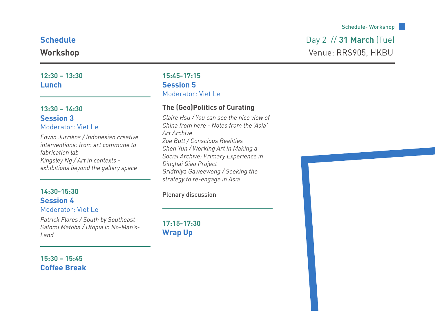#### **12:30 – 13:30 Lunch**

#### **13:30 – 14:30 Session 3** Moderator: Viet Le

*Edwin Jurriëns / Indonesian creative interventions: from art commune to fabrication lab Kingsley Ng / Art in contexts exhibitions beyond the gallery space*

#### Plenary discussion **14:30-15:30 Session 4**

#### Moderator: Viet Le

*Patrick Flores / South by Southeast Satomi Matoba / Utopia in No-Man's-Land*

#### **15:45-17:15 Session 5** Moderator: Viet Le

#### **The (Geo)Politics of Curating**

*Claire Hsu / You can see the nice view of China from here - Notes from the 'Asia' Art Archive Zoe Butt / Conscious Realities Chen Yun / Working Art in Making a Social Archive: Primary Experience in Dinghai Qiao Project Gridthiya Gaweewong / Seeking the strategy to re-engage in Asia*

**17:15-17:30 Wrap Up**

## **Schedule Day 2 // 31 March (Tue)**

**Workshop** Venue: RRS905, HKBU



**15:30 – 15:45 Coffee Break**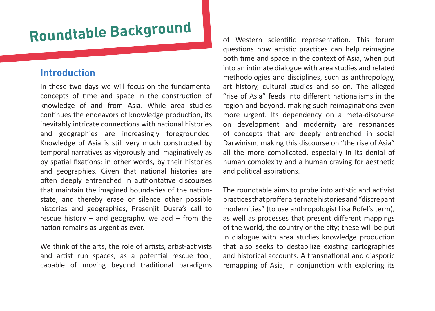# **Roundtable Backgroun<sup>d</sup>**

#### **Introduction**

In these two days we will focus on the fundamental concepts of time and space in the construction of knowledge of and from Asia. While area studies continues the endeavors of knowledge production, its inevitably intricate connections with national histories and geographies are increasingly foregrounded. Knowledge of Asia is still very much constructed by temporal narratives as vigorously and imaginatively as by spatial fixations: in other words, by their histories and geographies. Given that national histories are often deeply entrenched in authoritative discourses that maintain the imagined boundaries of the nationstate, and thereby erase or silence other possible histories and geographies, Prasenjit Duara's call to rescue history  $-$  and geography, we add  $-$  from the nation remains as urgent as ever.

We think of the arts, the role of artists, artist-activists and artist run spaces, as a potential rescue tool, capable of moving beyond traditional paradigms of Western scientific representation. This forum questions how artistic practices can help reimagine both time and space in the context of Asia, when put into an intimate dialogue with area studies and related methodologies and disciplines, such as anthropology, art history, cultural studies and so on. The alleged "rise of Asia" feeds into different nationalisms in the region and beyond, making such reimaginations even more urgent. Its dependency on a meta-discourse on development and modernity are resonances of concepts that are deeply entrenched in social Darwinism, making this discourse on "the rise of Asia" all the more complicated, especially in its denial of human complexity and a human craving for aesthetic and political aspirations.

The roundtable aims to probe into artistic and activist practices that proffer alternate histories and "discrepant modernities" (to use anthropologist Lisa Rofel's term), as well as processes that present different mappings of the world, the country or the city; these will be put in dialogue with area studies knowledge production that also seeks to destabilize existing cartographies and historical accounts. A transnational and diasporic remapping of Asia, in conjunction with exploring its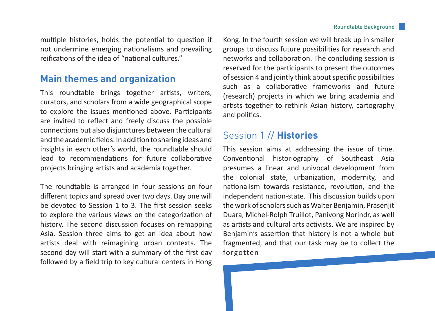multiple histories, holds the potential to question if not undermine emerging nationalisms and prevailing reifications of the idea of "national cultures."

#### **Main themes and organization**

This roundtable brings together artists, writers, curators, and scholars from a wide geographical scope to explore the issues mentioned above. Participants are invited to reflect and freely discuss the possible connections but also disjunctures between the cultural and the academic fields. In addition to sharing ideas and insights in each other's world, the roundtable should lead to recommendations for future collaborative projects bringing artists and academia together.

The roundtable is arranged in four sessions on four different topics and spread over two days. Day one will be devoted to Session 1 to 3. The first session seeks to explore the various views on the categorization of history. The second discussion focuses on remapping Asia. Session three aims to get an idea about how artists deal with reimagining urban contexts. The second day will start with a summary of the first day followed by a field trip to key cultural centers in Hong

Kong. In the fourth session we will break up in smaller groups to discuss future possibilities for research and networks and collaboration. The concluding session is reserved for the participants to present the outcomes of session 4 and jointly think about specific possibilities such as a collaborative frameworks and future (research) projects in which we bring academia and artists together to rethink Asian history, cartography and politics.

#### Session 1 // **Histories**

This session aims at addressing the issue of time. Conventional historiography of Southeast Asia presumes a linear and univocal development from the colonial state, urbanization, modernity, and nationalism towards resistance, revolution, and the independent nation-state. This discussion builds upon the work of scholars such as Walter Benjamin, Prasenjit Duara, Michel-Rolph Truillot, Panivong Norindr, as well as artists and cultural arts activists. We are inspired by Benjamin's assertion that history is not a whole but fragmented, and that our task may be to collect the forgotten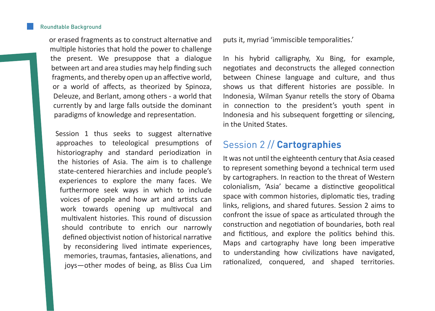or erased fragments as to construct alternative and multiple histories that hold the power to challenge the present. We presuppose that a dialogue between art and area studies may help finding such fragments, and thereby open up an affective world, or a world of affects, as theorized by Spinoza, Deleuze, and Berlant, among others - a world that currently by and large falls outside the dominant paradigms of knowledge and representation.

Session 1 thus seeks to suggest alternative approaches to teleological presumptions of historiography and standard periodization in the histories of Asia. The aim is to challenge state-centered hierarchies and include people's experiences to explore the many faces. We furthermore seek ways in which to include voices of people and how art and artists can work towards opening up multivocal and multivalent histories. This round of discussion should contribute to enrich our narrowly defined objectivist notion of historical narrative by reconsidering lived intimate experiences, memories, traumas, fantasies, alienations, and joys—other modes of being, as Bliss Cua Lim puts it, myriad 'immiscible temporalities.'

In his hybrid calligraphy, Xu Bing, for example, negotiates and deconstructs the alleged connection between Chinese language and culture, and thus shows us that different histories are possible. In Indonesia, Wilman Syanur retells the story of Obama in connection to the president's youth spent in Indonesia and his subsequent forgetting or silencing, in the United States.

#### Session 2 // **Cartographies**

It was not until the eighteenth century that Asia ceased to represent something beyond a technical term used by cartographers. In reaction to the threat of Western colonialism, 'Asia' became a distinctive geopolitical space with common histories, diplomatic ties, trading links, religions, and shared futures. Session 2 aims to confront the issue of space as articulated through the construction and negotiation of boundaries, both real and fictitious, and explore the politics behind this. Maps and cartography have long been imperative to understanding how civilizations have navigated, rationalized, conquered, and shaped territories.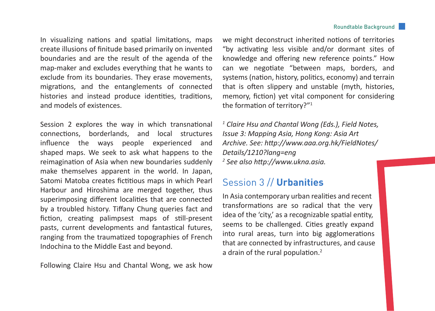In visualizing nations and spatial limitations, maps create illusions of finitude based primarily on invented boundaries and are the result of the agenda of the map-maker and excludes everything that he wants to exclude from its boundaries. They erase movements, migrations, and the entanglements of connected histories and instead produce identities, traditions, and models of existences.

Session 2 explores the way in which transnational connections, borderlands, and local structures influence the ways people experienced and shaped maps. We seek to ask what happens to the reimagination of Asia when new boundaries suddenly make themselves apparent in the world. In Japan, Satomi Matoba creates fictitious maps in which Pearl Harbour and Hiroshima are merged together, thus superimposing different localities that are connected by a troubled history. Tiffany Chung queries fact and fiction, creating palimpsest maps of still-present pasts, current developments and fantastical futures, ranging from the traumatized topographies of French Indochina to the Middle East and beyond.

Following Claire Hsu and Chantal Wong, we ask how

we might deconstruct inherited notions of territories "by activating less visible and/or dormant sites of knowledge and offering new reference points." How can we negotiate "between maps, borders, and systems (nation, history, politics, economy) and terrain that is often slippery and unstable (myth, histories, memory, fiction) yet vital component for considering the formation of territory?"1

*1 Claire Hsu and Chantal Wong (Eds.), Field Notes, Issue 3: Mapping Asia, Hong Kong: Asia Art Archive. See: http://www.aaa.org.hk/FieldNotes/ Details/1210?lang=eng 2 See also http://www.ukna.asia.* 

#### Session 3 // **Urbanities**

In Asia contemporary urban realities and recent transformations are so radical that the very idea of the 'city,' as a recognizable spatial entity, seems to be challenged. Cities greatly expand into rural areas, turn into big agglomerations that are connected by infrastructures, and cause a drain of the rural population.<sup>2</sup>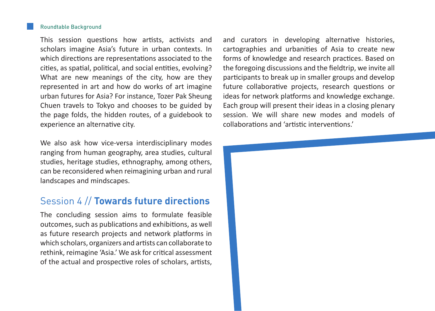#### Roundtable Background

This session questions how artists, activists and scholars imagine Asia's future in urban contexts. In which directions are representations associated to the cities, as spatial, political, and social entities, evolving? What are new meanings of the city, how are they represented in art and how do works of art imagine urban futures for Asia? For instance, Tozer Pak Sheung Chuen travels to Tokyo and chooses to be guided by the page folds, the hidden routes, of a guidebook to experience an alternative city.

We also ask how vice-versa interdisciplinary modes ranging from human geography, area studies, cultural studies, heritage studies, ethnography, among others, can be reconsidered when reimagining urban and rural landscapes and mindscapes.

#### Session 4 // **Towards future directions**

The concluding session aims to formulate feasible outcomes, such as publications and exhibitions, as well as future research projects and network platforms in which scholars, organizers and artists can collaborate to rethink, reimagine 'Asia.' We ask for critical assessment of the actual and prospective roles of scholars, artists, and curators in developing alternative histories, cartographies and urbanities of Asia to create new forms of knowledge and research practices. Based on the foregoing discussions and the fieldtrip, we invite all participants to break up in smaller groups and develop future collaborative projects, research questions or ideas for network platforms and knowledge exchange. Each group will present their ideas in a closing plenary session. We will share new modes and models of collaborations and 'artistic interventions.'

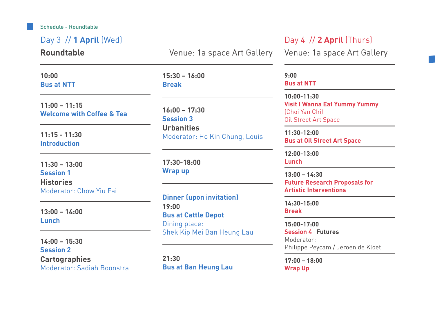Schedule - Roundtable

Day 3 // **1 April** (Wed) **Roundtable 10:00 Bus at NTT 11:00 – 11:15 Welcome with Coffee & Tea 15:30 – 16:00 Break 13:00 – 14:00 Lunch 17:30-18:00 Wrap up 11:15 - 11:30 Introduction 11:30 – 13:00 Session 1 Histories** Moderator: Chow Yiu Fai **16:00 – 17:30 Session 3 Urbanities** Moderator: Ho Kin Chung, Louis **15:00-17:00 Session 4 Futures** Moderator: Philippe Peycam / Jeroen de Kloet **17:00 – 18:00 Wrap Up 14:00 – 15:30 Session 2 Cartographies** Moderator: Sadiah Boonstra **9:00 Bus at NTT 11:30-12:00 Bus at Oil Street Art Space 12:00-13:00 Lunch 13:00 – 14:30 Future Research Proposals for Artistic Interventions 14:30-15:00 Break 10:00-11:30 Visit I Wanna Eat Yummy Yummy** (Choi Yan Chi) Oil Street Art Space **Dinner (upon invitation) 19:00 Bus at Cattle Depot** Dining place: Shek Kip Mei Ban Heung Lau **21:30 Bus at Ban Heung Lau** Venue: 1a space Art Gallery Day 4 // **2 April** (Thurs) Venue: 1a space Art Gallery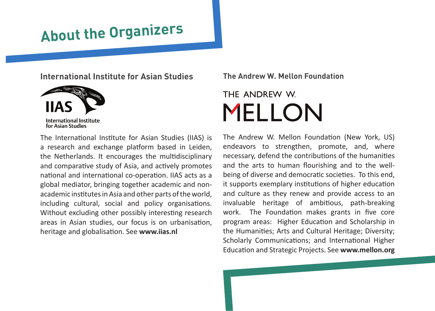# **About the Organizers**

**International Institute for Asian Studies**



The International Institute for Asian Studies (IIAS) is a research and exchange platform based in Leiden, the Netherlands. It encourages the multidisciplinary and comparative study of Asia, and actively promotes national and international co-operation. IIAS acts as a global mediator, bringing together academic and nonacademic institutes in Asia and other parts of the world, including cultural, social and policy organisations. Without excluding other possibly interesting research areas in Asian studies, our focus is on urbanisation, heritage and globalisation. See **www.iias.nl**

**The Andrew W. Mellon Foundation**

## THE ANDREW W **MELLON**

The Andrew W. Mellon Foundation (New York, US) endeavors to strengthen, promote, and, where necessary, defend the contributions of the humanities and the arts to human flourishing and to the wellbeing of diverse and democratic societies. To this end, it supports exemplary institutions of higher education and culture as they renew and provide access to an invaluable heritage of ambitious, path-breaking work. The Foundation makes grants in five core program areas: Higher Education and Scholarship in the Humanities; Arts and Cultural Heritage; Diversity; Scholarly Communications; and International Higher Education and Strategic Projects. See **www.mellon.org**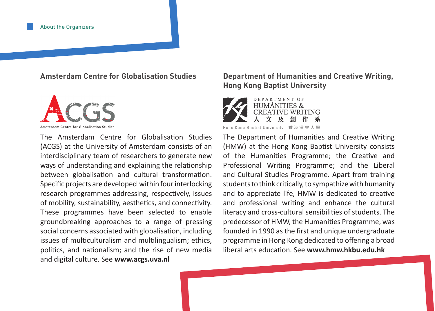#### **Amsterdam Centre for Globalisation Studies**



The Amsterdam Centre for Globalisation Studies (ACGS) at the University of Amsterdam consists of an interdisciplinary team of researchers to generate new ways of understanding and explaining the relationship between globalisation and cultural transformation. Specific projects are developed within four interlocking research programmes addressing, respectively, issues of mobility, sustainability, aesthetics, and connectivity. These programmes have been selected to enable groundbreaking approaches to a range of pressing social concerns associated with globalisation, including issues of multiculturalism and multilingualism; ethics, politics, and nationalism; and the rise of new media and digital culture. See **www.acgs.uva.nl**

#### **Department of Humanities and Creative Writing, Hong Kong Baptist University**



Hong Kong Bantist University | 香港清會大學

The Department of Humanities and Creative Writing (HMW) at the Hong Kong Baptist University consists of the Humanities Programme; the Creative and Professional Writing Programme; and the Liberal and Cultural Studies Programme. Apart from training students to think critically, to sympathize with humanity and to appreciate life, HMW is dedicated to creative and professional writing and enhance the cultural literacy and cross-cultural sensibilities of students. The predecessor of HMW, the Humanities Programme, was founded in 1990 as the first and unique undergraduate programme in Hong Kong dedicated to offering a broad liberal arts education. See **www.hmw.hkbu.edu.hk**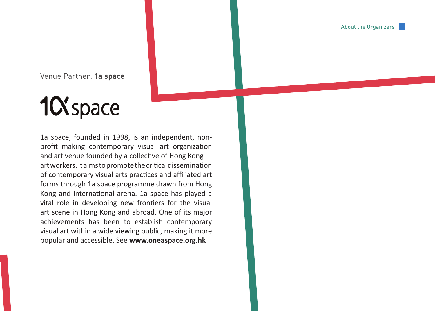About the Organizers

Venue Partner: **1a space**

# 1C Space

1a space, founded in 1998, is an independent, nonprofit making contemporary visual art organization and art venue founded by a collective of Hong Kong art workers. It aims to promote the critical dissemination of contemporary visual arts practices and affiliated art forms through 1a space programme drawn from Hong Kong and international arena. 1a space has played a vital role in developing new frontiers for the visual art scene in Hong Kong and abroad. One of its major achievements has been to establish contemporary visual art within a wide viewing public, making it more popular and accessible. See **www.oneaspace.org.hk**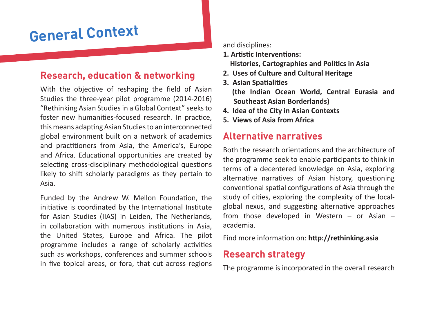## **General Context**

#### **Research, education & networking**

With the objective of reshaping the field of Asian Studies the three-year pilot programme (2014-2016) "Rethinking Asian Studies in a Global Context" seeks to foster new humanities-focused research. In practice, this means adapting Asian Studies to an interconnected global environment built on a network of academics and practitioners from Asia, the America's, Europe and Africa. Educational opportunities are created by selecting cross-disciplinary methodological questions likely to shift scholarly paradigms as they pertain to Asia.

Funded by the Andrew W. Mellon Foundation, the initiative is coordinated by the International Institute for Asian Studies (IIAS) in Leiden, The Netherlands, in collaboration with numerous institutions in Asia, the United States, Europe and Africa. The pilot programme includes a range of scholarly activities such as workshops, conferences and summer schools in five topical areas, or fora, that cut across regions and disciplines:

- **1. Artistic Interventions: Histories, Cartographies and Politics in Asia**
- **2. Uses of Culture and Cultural Heritage**
- **3. Asian Spatialities (the Indian Ocean World, Central Eurasia and Southeast Asian Borderlands)**
- **4. Idea of the City in Asian Contexts**
- **5. Views of Asia from Africa**

### **Alternative narratives**

Both the research orientations and the architecture of the programme seek to enable participants to think in terms of a decentered knowledge on Asia, exploring alternative narratives of Asian history, questioning conventional spatial configurations of Asia through the study of cities, exploring the complexity of the localglobal nexus, and suggesting alternative approaches from those developed in Western – or Asian – academia.

Find more information on: **http://rethinking.asia**

#### **Research strategy**

The programme is incorporated in the overall research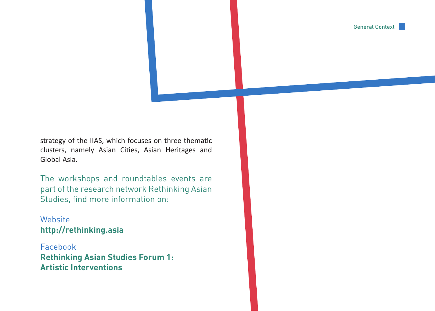General Context

strategy of the IIAS, which focuses on three thematic clusters, namely Asian Cities, Asian Heritages and Global Asia.

The workshops and roundtables events are part of the research network Rethinking Asian Studies, find more information on:

**Website http://rethinking.asia**

Facebook **Rethinking Asian Studies Forum 1: Artistic Interventions**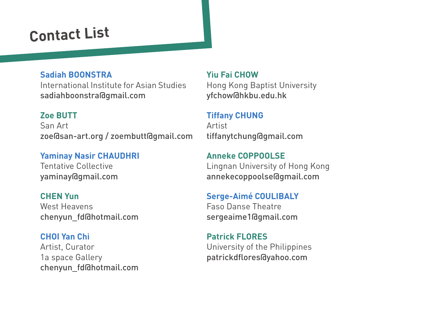## **Contact List**

#### **Sadiah BOONSTRA**

International Institute for Asian Studies sadiahboonstra@gmail.com

#### **Zoe BUTT**

San Art zoe@san-art.org / zoembutt@gmail.com

**Yaminay Nasir CHAUDHRI** Tentative Collective yaminay@gmail.com

**CHEN Yun** West Heavens chenyun\_fd@hotmail.com

#### **CHOI Yan Chi**

Artist, Curator 1a space Gallery chenyun\_fd@hotmail.com

#### **Yiu Fai CHOW**

Hong Kong Baptist University yfchow@hkbu.edu.hk

#### **Tiffany CHUNG**

Artist tiffanytchung@gmail.com

**Anneke COPPOOLSE**  Lingnan University of Hong Kong annekecoppoolse@gmail.com

**Serge-Aimé COULIBALY** Faso Danse Theatre sergeaime1@gmail.com

**Patrick FLORES** University of the Philippines patrickdflores@yahoo.com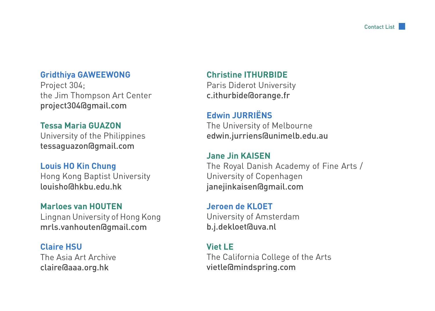#### **Gridthiya GAWEEWONG**

Project 304; the Jim Thompson Art Center project304@gmail.com

#### **Tessa Maria GUAZON**

University of the Philippines tessaguazon@gmail.com

#### **Louis HO Kin Chung**

Hong Kong Baptist University louisho@hkbu.edu.hk

#### **Marloes van HOUTEN**

Lingnan University of Hong Kong mrls.vanhouten@gmail.com

#### **Claire HSU**

The Asia Art Archive claire@aaa.org.hk

#### **Christine ITHURBIDE**

Paris Diderot University c.ithurbide@orange.fr

#### **Edwin JURRIËNS**

The University of Melbourne edwin.jurriens@unimelb.edu.au

#### **Jane Jin KAISEN**

The Royal Danish Academy of Fine Arts / University of Copenhagen janejinkaisen@gmail.com

#### **Jeroen de KLOET**

University of Amsterdam b.j.dekloet@uva.nl

#### **Viet LE**

The California College of the Arts vietle@mindspring.com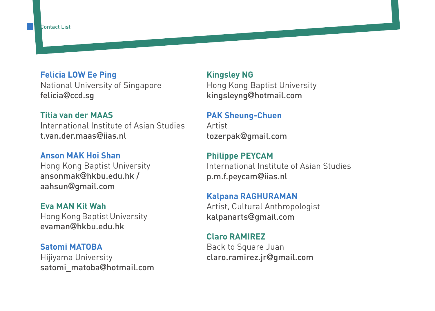#### **Felicia LOW Ee Ping**

National University of Singapore felicia@ccd.sg

#### **Titia van der MAAS**

International Institute of Asian Studies t.van.der.maas@iias.nl

#### **Anson MAK Hoi Shan**

Hong Kong Baptist University ansonmak@hkbu.edu.hk / aahsun@gmail.com

#### **Eva MAN Kit Wah**

Hong Kong Baptist University evaman@hkbu.edu.hk

#### **Satomi MATOBA**

Hijiyama University satomi\_matoba@hotmail.com

#### **Kingsley NG**

Hong Kong Baptist University kingsleyng@hotmail.com

#### **PAK Sheung-Chuen**

Artist tozerpak@gmail.com

#### **Philippe PEYCAM**  International Institute of Asian Studies p.m.f.peycam@iias.nl

#### **Kalpana RAGHURAMAN**

Artist, Cultural Anthropologist kalpanarts@gmail.com

#### **Claro RAMIREZ**

Back to Square Juan claro.ramirez.jr@gmail.com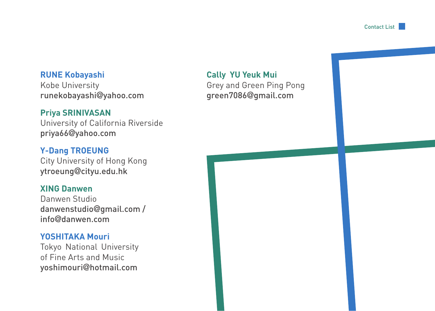Contact List

#### **RUNE Kobayashi**

Kobe University runekobayashi@yahoo.com

#### **Priya SRINIVASAN**

University of California Riverside priya66@yahoo.com

#### **Y-Dang TROEUNG**

City University of Hong Kong ytroeung@cityu.edu.hk

#### **XING Danwen**

Danwen Studio danwenstudio@gmail.com / info@danwen.com

#### **YOSHITAKA Mouri**

Tokyo National University of Fine Arts and Music yoshimouri@hotmail.com

#### **Cally YU Yeuk Mui**

Grey and Green Ping Pong green7086@gmail.com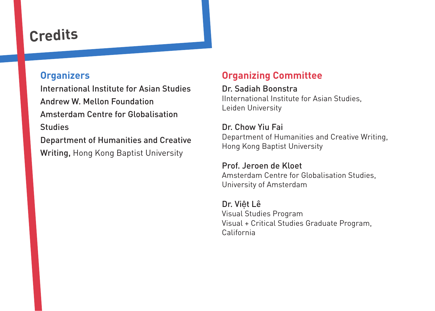## **Credits**

#### **Organizers**

International Institute for Asian Studies Andrew W. Mellon Foundation Amsterdam Centre for Globalisation Studies Department of Humanities and Creative Writing, Hong Kong Baptist University

#### **Organizing Committee**

#### Dr. Sadiah Boonstra

IInternational Institute for Asian Studies, Leiden University

#### Dr. Chow Yiu Fai

Department of Humanities and Creative Writing, Hong Kong Baptist University

#### Prof. Jeroen de Kloet

Amsterdam Centre for Globalisation Studies, University of Amsterdam

#### Dr. Việt Lê Visual Studies Program Visual + Critical Studies Graduate Program, California